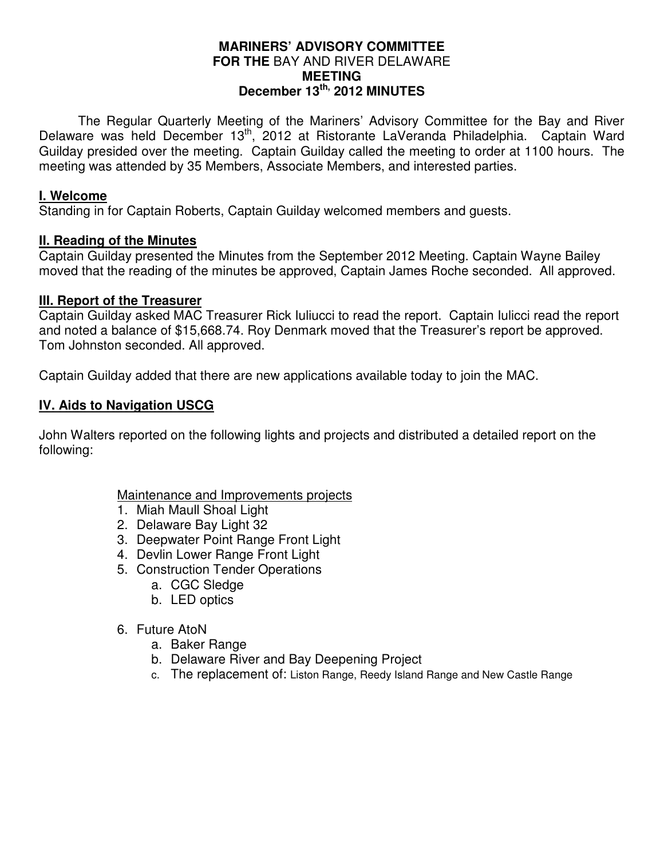### **MARINERS' ADVISORY COMMITTEE FOR THE** BAY AND RIVER DELAWARE **MEETING December 13th, 2012 MINUTES**

 The Regular Quarterly Meeting of the Mariners' Advisory Committee for the Bay and River Delaware was held December 13<sup>th</sup>, 2012 at Ristorante LaVeranda Philadelphia. Captain Ward Guilday presided over the meeting. Captain Guilday called the meeting to order at 1100 hours. The meeting was attended by 35 Members, Associate Members, and interested parties.

### **I. Welcome**

Standing in for Captain Roberts, Captain Guilday welcomed members and guests.

### **II. Reading of the Minutes**

Captain Guilday presented the Minutes from the September 2012 Meeting. Captain Wayne Bailey moved that the reading of the minutes be approved, Captain James Roche seconded. All approved.

### **III. Report of the Treasurer**

Captain Guilday asked MAC Treasurer Rick Iuliucci to read the report. Captain Iulicci read the report and noted a balance of \$15,668.74. Roy Denmark moved that the Treasurer's report be approved. Tom Johnston seconded. All approved.

Captain Guilday added that there are new applications available today to join the MAC.

# **IV. Aids to Navigation USCG**

John Walters reported on the following lights and projects and distributed a detailed report on the following:

# Maintenance and Improvements projects

- 1. Miah Maull Shoal Light
- 2. Delaware Bay Light 32
- 3. Deepwater Point Range Front Light
- 4. Devlin Lower Range Front Light
- 5. Construction Tender Operations
	- a. CGC Sledge
	- b. LED optics
- 6. Future AtoN
	- a. Baker Range
	- b. Delaware River and Bay Deepening Project
	- c. The replacement of: Liston Range, Reedy Island Range and New Castle Range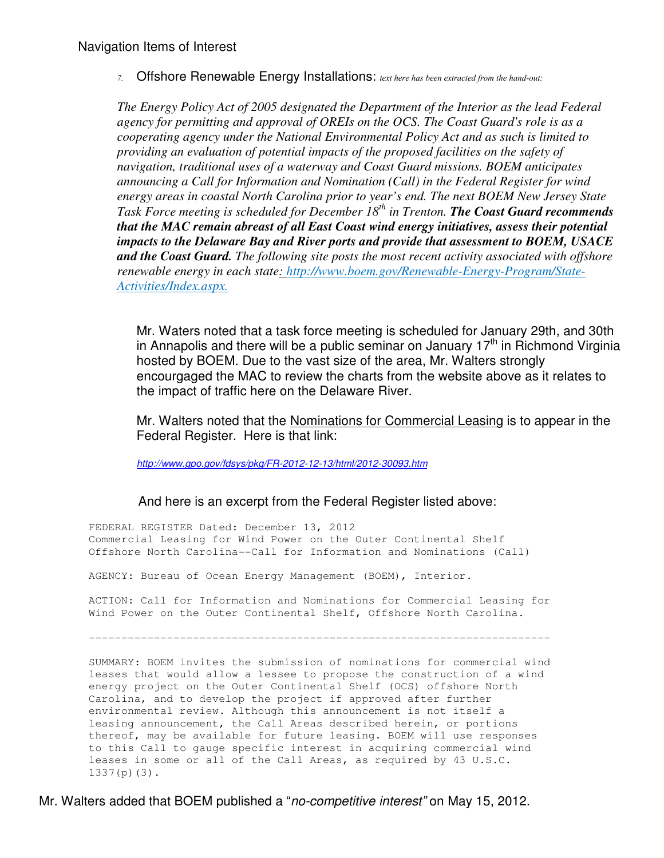7. Offshore Renewable Energy Installations: text here has been extracted from the hand-out:

*The Energy Policy Act of 2005 designated the Department of the Interior as the lead Federal agency for permitting and approval of OREIs on the OCS. The Coast Guard's role is as a cooperating agency under the National Environmental Policy Act and as such is limited to providing an evaluation of potential impacts of the proposed facilities on the safety of navigation, traditional uses of a waterway and Coast Guard missions. BOEM anticipates announcing a Call for Information and Nomination (Call) in the Federal Register for wind energy areas in coastal North Carolina prior to year's end. The next BOEM New Jersey State Task Force meeting is scheduled for December 18th in Trenton. The Coast Guard recommends that the MAC remain abreast of all East Coast wind energy initiatives, assess their potential impacts to the Delaware Bay and River ports and provide that assessment to BOEM, USACE and the Coast Guard. The following site posts the most recent activity associated with offshore renewable energy in each state: http://www.boem.gov/Renewable-Energy-Program/State-Activities/Index.aspx.* 

Mr. Waters noted that a task force meeting is scheduled for January 29th, and 30th in Annapolis and there will be a public seminar on January  $17<sup>th</sup>$  in Richmond Virginia hosted by BOEM. Due to the vast size of the area, Mr. Walters strongly encourgaged the MAC to review the charts from the website above as it relates to the impact of traffic here on the Delaware River.

Mr. Walters noted that the Nominations for Commercial Leasing is to appear in the Federal Register. Here is that link:

http://www.gpo.gov/fdsys/pkg/FR-2012-12-13/html/2012-30093.htm

#### And here is an excerpt from the Federal Register listed above:

 FEDERAL REGISTER Dated: December 13, 2012 Commercial Leasing for Wind Power on the Outer Continental Shelf Offshore North Carolina--Call for Information and Nominations (Call)

AGENCY: Bureau of Ocean Energy Management (BOEM), Interior.

 ACTION: Call for Information and Nominations for Commercial Leasing for Wind Power on the Outer Continental Shelf, Offshore North Carolina.

-----------------------------------------------------------------------

 SUMMARY: BOEM invites the submission of nominations for commercial wind leases that would allow a lessee to propose the construction of a wind energy project on the Outer Continental Shelf (OCS) offshore North Carolina, and to develop the project if approved after further environmental review. Although this announcement is not itself a leasing announcement, the Call Areas described herein, or portions thereof, may be available for future leasing. BOEM will use responses to this Call to gauge specific interest in acquiring commercial wind leases in some or all of the Call Areas, as required by 43 U.S.C. 1337(p)(3).

Mr. Walters added that BOEM published a "no-competitive interest" on May 15, 2012.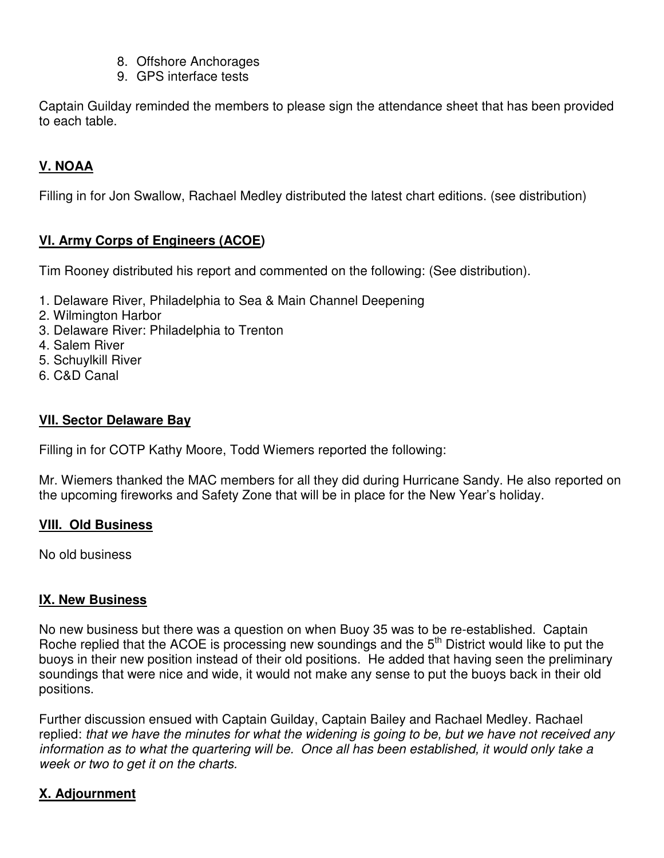- 8. Offshore Anchorages
- 9. GPS interface tests

Captain Guilday reminded the members to please sign the attendance sheet that has been provided to each table.

# **V. NOAA**

Filling in for Jon Swallow, Rachael Medley distributed the latest chart editions. (see distribution)

# **VI. Army Corps of Engineers (ACOE)**

Tim Rooney distributed his report and commented on the following: (See distribution).

- 1. Delaware River, Philadelphia to Sea & Main Channel Deepening
- 2. Wilmington Harbor
- 3. Delaware River: Philadelphia to Trenton
- 4. Salem River
- 5. Schuylkill River
- 6. C&D Canal

### **VII. Sector Delaware Bay**

Filling in for COTP Kathy Moore, Todd Wiemers reported the following:

Mr. Wiemers thanked the MAC members for all they did during Hurricane Sandy. He also reported on the upcoming fireworks and Safety Zone that will be in place for the New Year's holiday.

### **VIII. Old Business**

No old business

### **IX. New Business**

No new business but there was a question on when Buoy 35 was to be re-established. Captain Roche replied that the ACOE is processing new soundings and the 5<sup>th</sup> District would like to put the buoys in their new position instead of their old positions. He added that having seen the preliminary soundings that were nice and wide, it would not make any sense to put the buoys back in their old positions.

Further discussion ensued with Captain Guilday, Captain Bailey and Rachael Medley. Rachael replied: that we have the minutes for what the widening is going to be, but we have not received any information as to what the quartering will be. Once all has been established, it would only take a week or two to get it on the charts.

# **X. Adjournment**